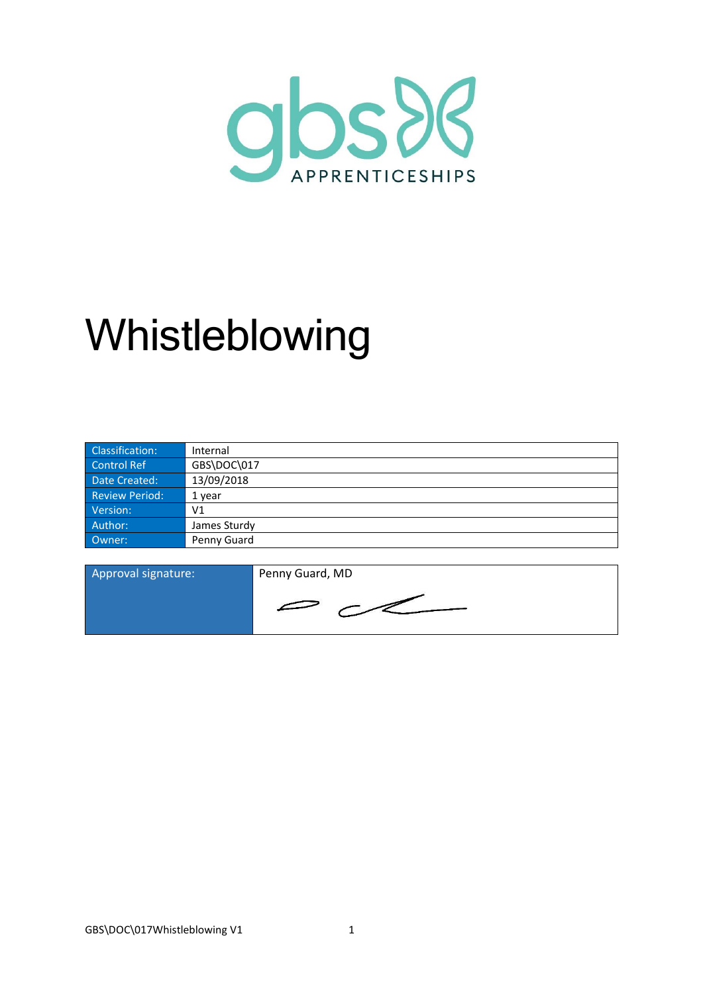

# Whistleblowing

| Classification:       | Internal       |
|-----------------------|----------------|
| Control Ref           | GBS\DOC\017    |
| Date Created:         | 13/09/2018     |
| <b>Review Period:</b> | 1 year         |
| Version:              | V <sub>1</sub> |
| Author:               | James Sturdy   |
| Owner:                | Penny Guard    |

| Approval signature: | Penny Guard, MD |
|---------------------|-----------------|
|                     |                 |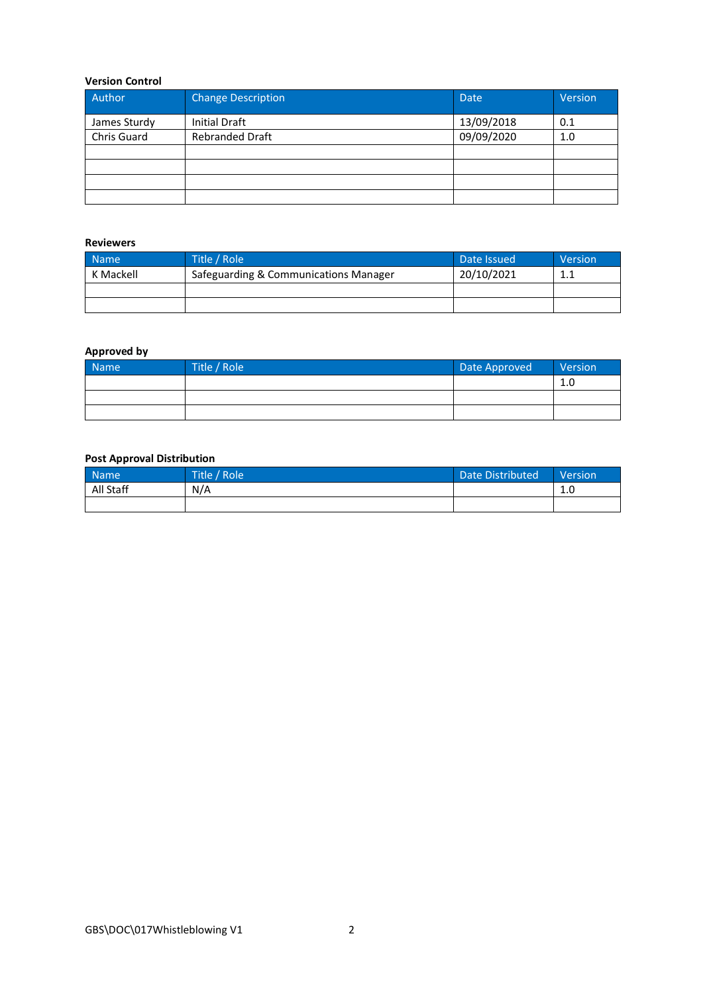## **Version Control**

| Author       | <b>Change Description</b> | <b>Date</b> | Version |
|--------------|---------------------------|-------------|---------|
| James Sturdy | <b>Initial Draft</b>      | 13/09/2018  | 0.1     |
| Chris Guard  | <b>Rebranded Draft</b>    | 09/09/2020  | 1.0     |
|              |                           |             |         |
|              |                           |             |         |
|              |                           |             |         |
|              |                           |             |         |

## **Reviewers**

| <b>Name</b> | Title / Role                          | Date Issued | Version   |
|-------------|---------------------------------------|-------------|-----------|
| K Mackell   | Safeguarding & Communications Manager | 20/10/2021  | 11<br>ᆠᆞᆠ |
|             |                                       |             |           |
|             |                                       |             |           |

## **Approved by**

| Name | Title / Role | Date Approved | Version |
|------|--------------|---------------|---------|
|      |              |               | 1.0     |
|      |              |               |         |
|      |              |               |         |

## **Post Approval Distribution**

| <b>Name</b> | Title / Role | Date Distributed | <b>Version</b>        |
|-------------|--------------|------------------|-----------------------|
| All Staff   | N/A          |                  | 1 <sup>0</sup><br>T.N |
|             |              |                  |                       |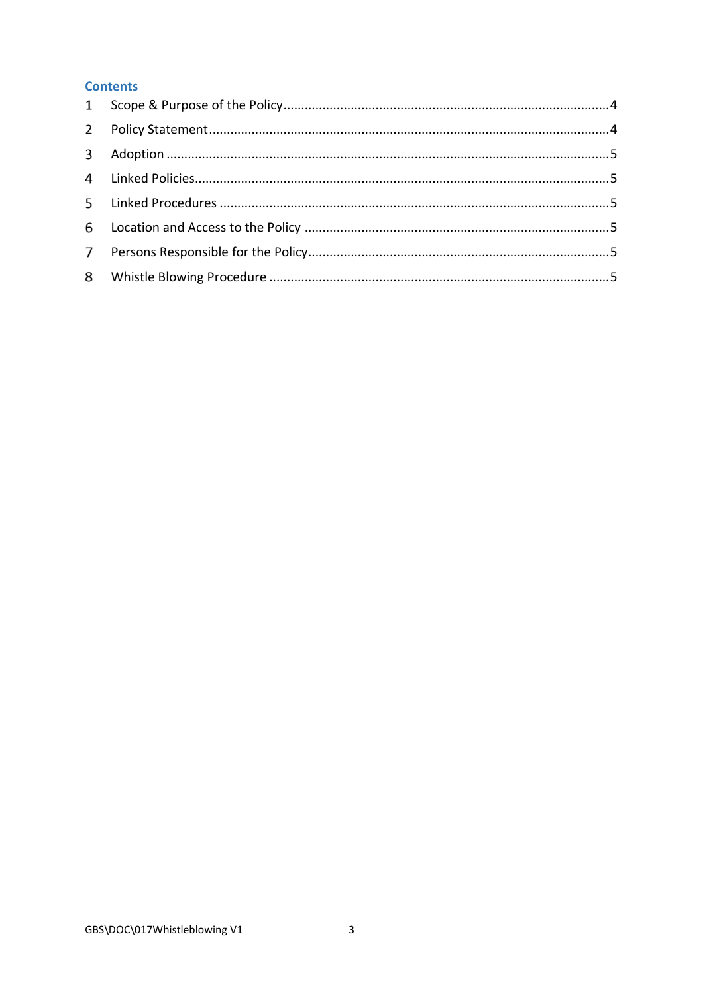# **Contents**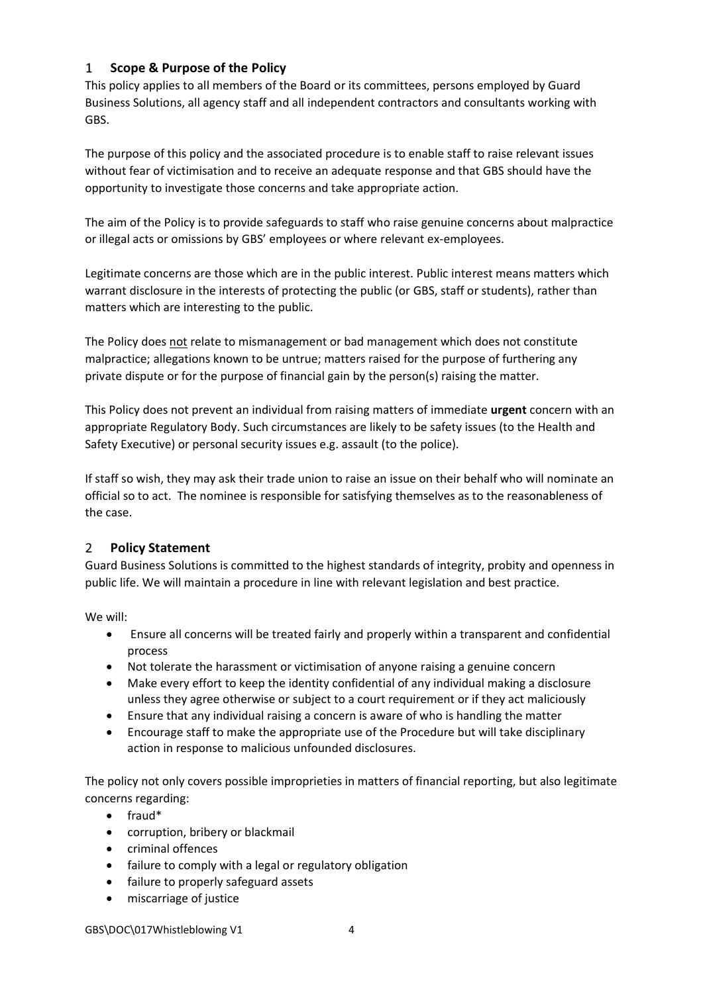#### <span id="page-3-0"></span>**Scope & Purpose of the Policy**  $\mathbf{1}$

This policy applies to all members of the Board or its committees, persons employed by Guard Business Solutions, all agency staff and all independent contractors and consultants working with GBS.

The purpose of this policy and the associated procedure is to enable staff to raise relevant issues without fear of victimisation and to receive an adequate response and that GBS should have the opportunity to investigate those concerns and take appropriate action.

The aim of the Policy is to provide safeguards to staff who raise genuine concerns about malpractice or illegal acts or omissions by GBS' employees or where relevant ex-employees.

Legitimate concerns are those which are in the public interest. Public interest means matters which warrant disclosure in the interests of protecting the public (or GBS, staff or students), rather than matters which are interesting to the public.

The Policy does not relate to mismanagement or bad management which does not constitute malpractice; allegations known to be untrue; matters raised for the purpose of furthering any private dispute or for the purpose of financial gain by the person(s) raising the matter.

This Policy does not prevent an individual from raising matters of immediate **urgent** concern with an appropriate Regulatory Body. Such circumstances are likely to be safety issues (to the Health and Safety Executive) or personal security issues e.g. assault (to the police).

If staff so wish, they may ask their trade union to raise an issue on their behalf who will nominate an official so to act. The nominee is responsible for satisfying themselves as to the reasonableness of the case.

#### <span id="page-3-1"></span> $2^{\circ}$ **Policy Statement**

Guard Business Solutions is committed to the highest standards of integrity, probity and openness in public life. We will maintain a procedure in line with relevant legislation and best practice.

We will:

- Ensure all concerns will be treated fairly and properly within a transparent and confidential process
- Not tolerate the harassment or victimisation of anyone raising a genuine concern
- Make every effort to keep the identity confidential of any individual making a disclosure unless they agree otherwise or subject to a court requirement or if they act maliciously
- Ensure that any individual raising a concern is aware of who is handling the matter
- Encourage staff to make the appropriate use of the Procedure but will take disciplinary action in response to malicious unfounded disclosures.

The policy not only covers possible improprieties in matters of financial reporting, but also legitimate concerns regarding:

- fraud\*
- corruption, bribery or blackmail
- criminal offences
- failure to comply with a legal or regulatory obligation
- failure to properly safeguard assets
- miscarriage of justice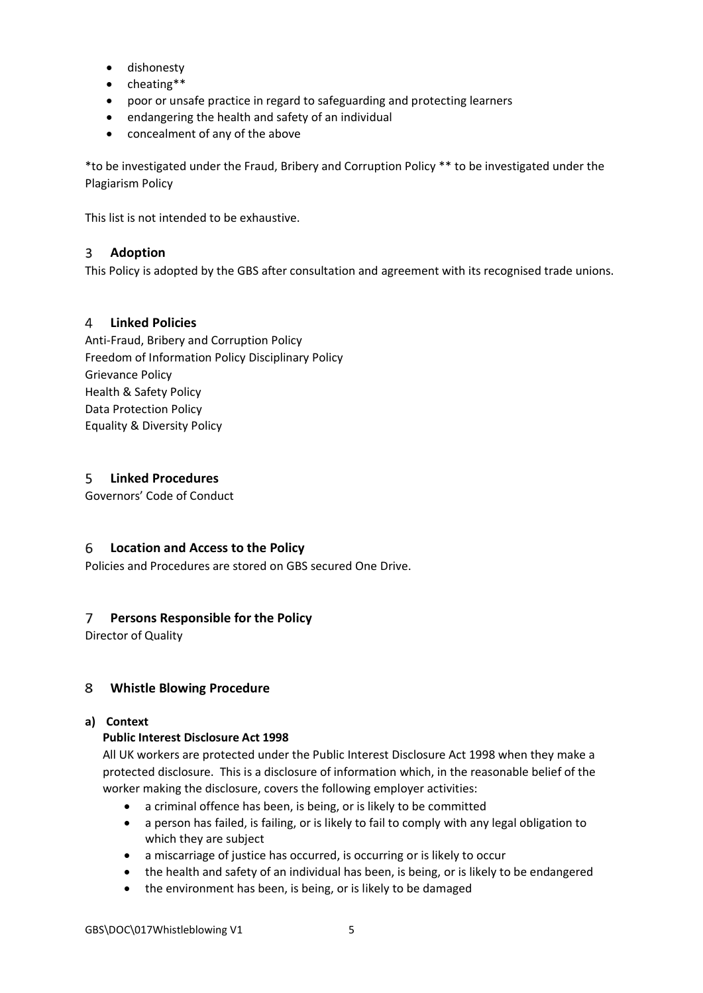- dishonesty
- cheating\*\*
- poor or unsafe practice in regard to safeguarding and protecting learners
- endangering the health and safety of an individual
- concealment of any of the above

\*to be investigated under the Fraud, Bribery and Corruption Policy \*\* to be investigated under the Plagiarism Policy

This list is not intended to be exhaustive.

#### <span id="page-4-0"></span> $\overline{3}$ **Adoption**

This Policy is adopted by the GBS after consultation and agreement with its recognised trade unions.

# <span id="page-4-1"></span>**Linked Policies**

Anti-Fraud, Bribery and Corruption Policy Freedom of Information Policy Disciplinary Policy Grievance Policy Health & Safety Policy Data Protection Policy Equality & Diversity Policy

#### <span id="page-4-2"></span>5 **Linked Procedures**

Governors' Code of Conduct

# <span id="page-4-3"></span>**Location and Access to the Policy**

Policies and Procedures are stored on GBS secured One Drive.

# <span id="page-4-4"></span>**Persons Responsible for the Policy**

Director of Quality

#### <span id="page-4-5"></span>8 **Whistle Blowing Procedure**

# **a) Context**

# **Public Interest Disclosure Act 1998**

All UK workers are protected under the Public Interest Disclosure Act 1998 when they make a protected disclosure. This is a disclosure of information which, in the reasonable belief of the worker making the disclosure, covers the following employer activities:

- a criminal offence has been, is being, or is likely to be committed
- a person has failed, is failing, or is likely to fail to comply with any legal obligation to which they are subject
- a miscarriage of justice has occurred, is occurring or is likely to occur
- the health and safety of an individual has been, is being, or is likely to be endangered
- the environment has been, is being, or is likely to be damaged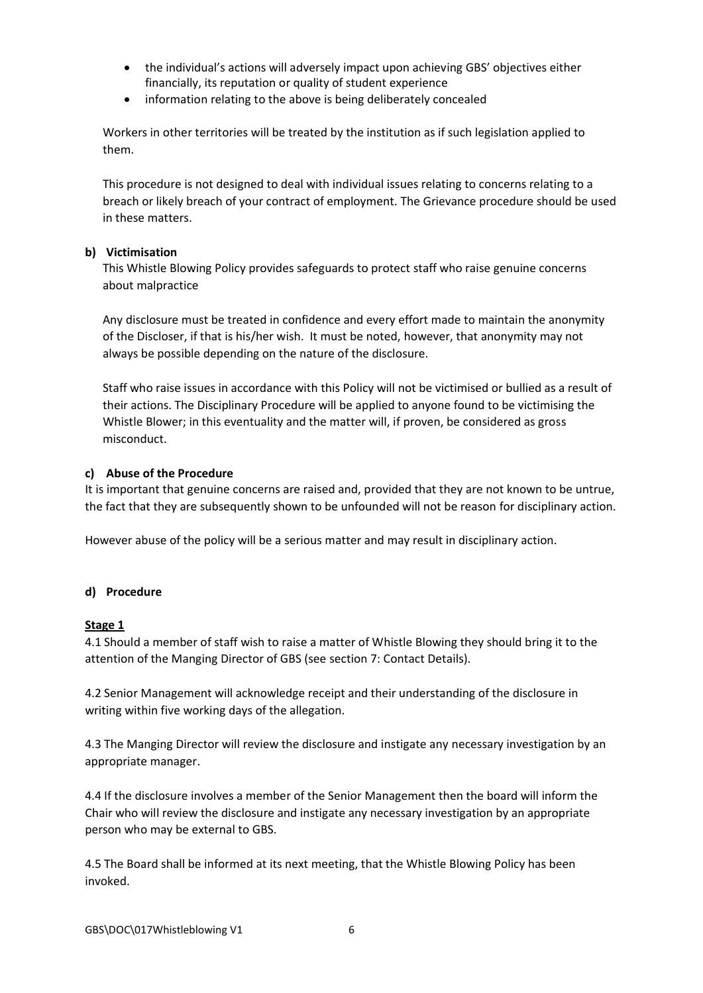- the individual's actions will adversely impact upon achieving GBS' objectives either financially, its reputation or quality of student experience
- information relating to the above is being deliberately concealed

Workers in other territories will be treated by the institution as if such legislation applied to them.

This procedure is not designed to deal with individual issues relating to concerns relating to a breach or likely breach of your contract of employment. The Grievance procedure should be used in these matters.

# **b) Victimisation**

This Whistle Blowing Policy provides safeguards to protect staff who raise genuine concerns about malpractice

Any disclosure must be treated in confidence and every effort made to maintain the anonymity of the Discloser, if that is his/her wish. It must be noted, however, that anonymity may not always be possible depending on the nature of the disclosure.

Staff who raise issues in accordance with this Policy will not be victimised or bullied as a result of their actions. The Disciplinary Procedure will be applied to anyone found to be victimising the Whistle Blower; in this eventuality and the matter will, if proven, be considered as gross misconduct.

## **c) Abuse of the Procedure**

It is important that genuine concerns are raised and, provided that they are not known to be untrue, the fact that they are subsequently shown to be unfounded will not be reason for disciplinary action.

However abuse of the policy will be a serious matter and may result in disciplinary action.

# **d) Procedure**

## **Stage 1**

4.1 Should a member of staff wish to raise a matter of Whistle Blowing they should bring it to the attention of the Manging Director of GBS (see section 7: Contact Details).

4.2 Senior Management will acknowledge receipt and their understanding of the disclosure in writing within five working days of the allegation.

4.3 The Manging Director will review the disclosure and instigate any necessary investigation by an appropriate manager.

4.4 If the disclosure involves a member of the Senior Management then the board will inform the Chair who will review the disclosure and instigate any necessary investigation by an appropriate person who may be external to GBS.

4.5 The Board shall be informed at its next meeting, that the Whistle Blowing Policy has been invoked.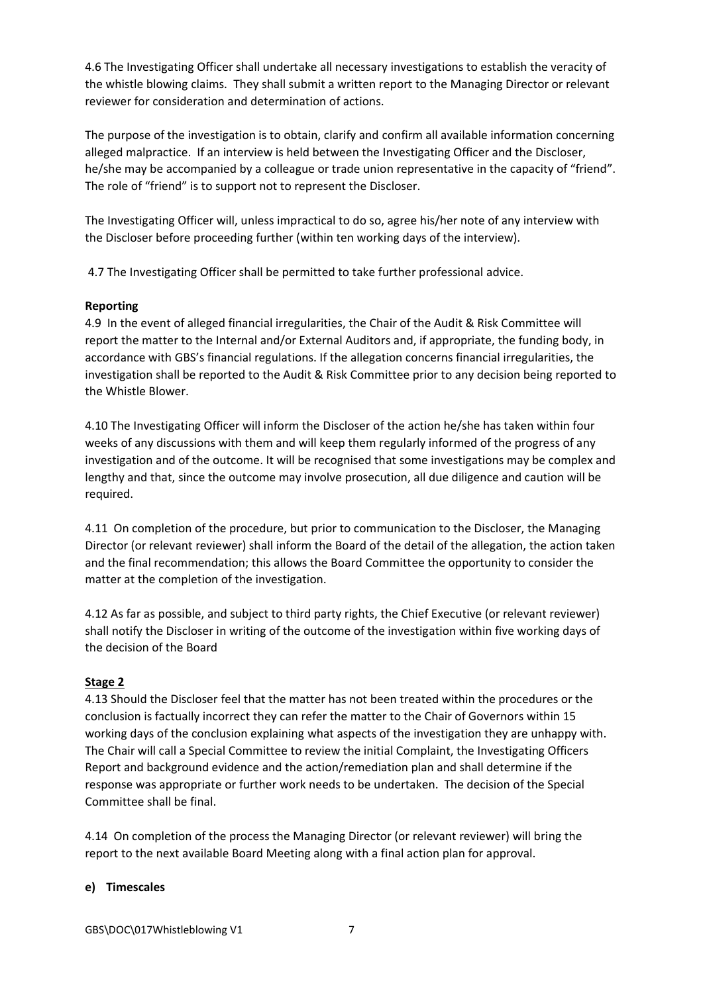4.6 The Investigating Officer shall undertake all necessary investigations to establish the veracity of the whistle blowing claims. They shall submit a written report to the Managing Director or relevant reviewer for consideration and determination of actions.

The purpose of the investigation is to obtain, clarify and confirm all available information concerning alleged malpractice. If an interview is held between the Investigating Officer and the Discloser, he/she may be accompanied by a colleague or trade union representative in the capacity of "friend". The role of "friend" is to support not to represent the Discloser.

The Investigating Officer will, unless impractical to do so, agree his/her note of any interview with the Discloser before proceeding further (within ten working days of the interview).

4.7 The Investigating Officer shall be permitted to take further professional advice.

# **Reporting**

4.9 In the event of alleged financial irregularities, the Chair of the Audit & Risk Committee will report the matter to the Internal and/or External Auditors and, if appropriate, the funding body, in accordance with GBS's financial regulations. If the allegation concerns financial irregularities, the investigation shall be reported to the Audit & Risk Committee prior to any decision being reported to the Whistle Blower.

4.10 The Investigating Officer will inform the Discloser of the action he/she has taken within four weeks of any discussions with them and will keep them regularly informed of the progress of any investigation and of the outcome. It will be recognised that some investigations may be complex and lengthy and that, since the outcome may involve prosecution, all due diligence and caution will be required.

4.11 On completion of the procedure, but prior to communication to the Discloser, the Managing Director (or relevant reviewer) shall inform the Board of the detail of the allegation, the action taken and the final recommendation; this allows the Board Committee the opportunity to consider the matter at the completion of the investigation.

4.12 As far as possible, and subject to third party rights, the Chief Executive (or relevant reviewer) shall notify the Discloser in writing of the outcome of the investigation within five working days of the decision of the Board

# **Stage 2**

4.13 Should the Discloser feel that the matter has not been treated within the procedures or the conclusion is factually incorrect they can refer the matter to the Chair of Governors within 15 working days of the conclusion explaining what aspects of the investigation they are unhappy with. The Chair will call a Special Committee to review the initial Complaint, the Investigating Officers Report and background evidence and the action/remediation plan and shall determine if the response was appropriate or further work needs to be undertaken. The decision of the Special Committee shall be final.

4.14 On completion of the process the Managing Director (or relevant reviewer) will bring the report to the next available Board Meeting along with a final action plan for approval.

# **e) Timescales**